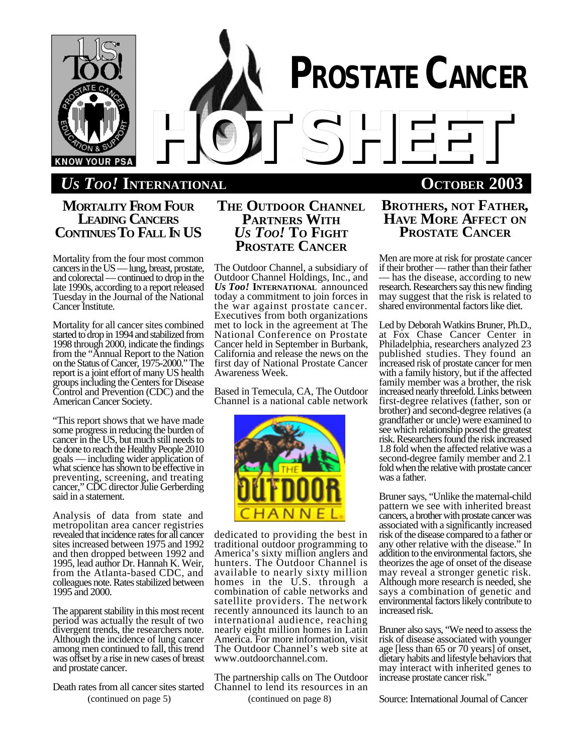

# *US TOO!* **INTERNATIONAL OCTOBER 2003**

## **MORTALITY FROM FOUR LEADING CANCERS CONTINUES TO FALL IN US**

Mortality from the four most common cancers in the US — lung, breast, prostate, and colorectal — continued to drop in the late 1990s, according to a report released Tuesday in the Journal of the National Cancer Institute.

Mortality for all cancer sites combined started to drop in 1994 and stabilized from 1998 through 2000, indicate the findings from the "Annual Report to the Nation on the Status of Cancer, 1975-2000." The report is a joint effort of many US health groups including the Centers for Disease Control and Prevention (CDC) and the American Cancer Society.

"This report shows that we have made some progress in reducing the burden of cancer in the US, but much still needs to be done to reach the Healthy People 2010 goals — including wider application of what science has shown to be effective in preventing, screening, and treating cancer," CDC director Julie Gerberding said in a statement.

Analysis of data from state and metropolitan area cancer registries revealed that incidence rates for all cancer sites increased between 1975 and 1992 and then dropped between 1992 and 1995, lead author Dr. Hannah K. Weir, from the Atlanta-based CDC, and colleagues note. Rates stabilized between 1995 and 2000.

The apparent stability in this most recent period was actually the result of two divergent trends, the researchers note. Although the incidence of lung cancer among men continued to fall, this trend was offset by a rise in new cases of breast and prostate cancer.

(continued on page 5) Death rates from all cancer sites started

## **THE OUTDOOR CHANNEL PARTNERS WITH** *US TOO!* **TO FIGHT PROSTATE CANCER**

The Outdoor Channel, a subsidiary of Outdoor Channel Holdings, Inc., and *Us Too!* **INTERNATIONAL** announced today a commitment to join forces in the war against prostate cancer. Executives from both organizations met to lock in the agreement at The National Conference on Prostate Cancer held in September in Burbank, California and release the news on the first day of National Prostate Cancer Awareness Week.

Based in Temecula, CA, The Outdoor Channel is a national cable network



dedicated to providing the best in traditional outdoor programming to America's sixty million anglers and hunters. The Outdoor Channel is available to nearly sixty million homes in the U.S. through a combination of cable networks and satellite providers. The network recently announced its launch to an international audience, reaching nearly eight million homes in Latin America. For more information, visit The Outdoor Channel's web site at www.outdoorchannel.com.

The partnership calls on The Outdoor Channel to lend its resources in an (continued on page 8)

## **BROTHERS, NOT FATHER, HAVE MORE AFFECT ON PROSTATE CANCER**

Men are more at risk for prostate cancer if their brother — rather than their father — has the disease, according to new research. Researchers say this new finding may suggest that the risk is related to shared environmental factors like diet.

Led by Deborah Watkins Bruner, Ph.D., at Fox Chase Cancer Center in Philadelphia, researchers analyzed 23 published studies. They found an increased risk of prostate cancer for men with a family history, but if the affected family member was a brother, the risk increased nearly threefold. Links between first-degree relatives (father, son or brother) and second-degree relatives (a grandfather or uncle) were examined to see which relationship posed the greatest risk. Researchers found the risk increased 1.8 fold when the affected relative was a second-degree family member and 2.1 fold when the relative with prostate cancer was a father.

Bruner says, "Unlike the maternal-child pattern we see with inherited breast cancers, a brother with prostate cancer was associated with a significantly increased risk of the disease compared to a father or any other relative with the disease." In addition to the environmental factors, she theorizes the age of onset of the disease may reveal a stronger genetic risk. Although more research is needed, she says a combination of genetic and environmental factors likely contribute to increased risk.

Bruner also says, "We need to assess the risk of disease associated with younger age [less than 65 or 70 years] of onset, dietary habits and lifestyle behaviors that may interact with inherited genes to increase prostate cancer risk."

Source: International Journal of Cancer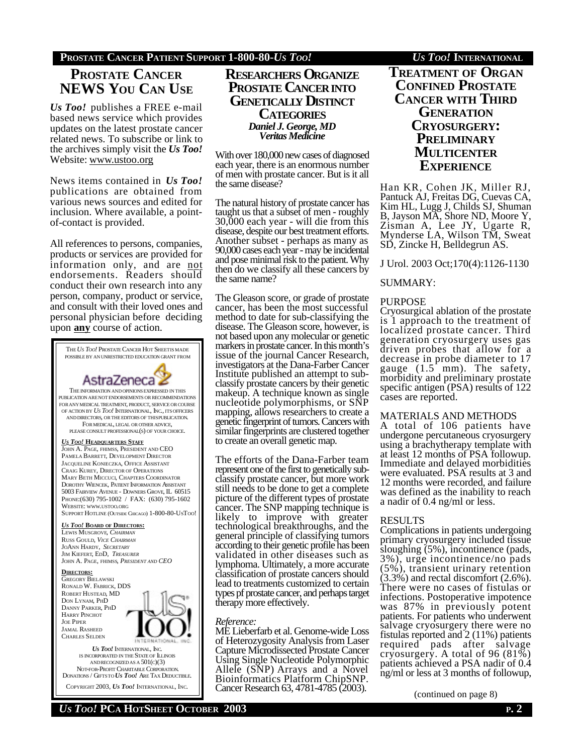## **PROSTATE CANCER PATIENT SUPPORT 1-800-80-***US TOO! US TOO!* **INTERNATIONAL**

## **PROSTATE CANCER NEWS YOU CAN USE**

*Us Too!* publishes a FREE e-mail based news service which provides updates on the latest prostate cancer related news. To subscribe or link to the archives simply visit the *Us Too!* Website: www.ustoo.org

News items contained in *Us Too!* publications are obtained from various news sources and edited for inclusion. Where available, a pointof-contact is provided.

All references to persons, companies, products or services are provided for information only, and are not endorsements. Readers should conduct their own research into any person, company, product or service, and consult with their loved ones and personal physician before deciding upon **any** course of action.



## **RESEARCHERS ORGANIZE PROSTATE CANCERINTO GENETICALLY DISTINCT CATEGORIES** *Daniel J. George, MD Veritas Medicine*

With over 180,000 new cases of diagnosed each year, there is an enormous number of men with prostate cancer. But is it all the same disease?

The natural history of prostate cancer has taught us that a subset of men - roughly 30,000 each year - will die from this disease, despite our best treatment efforts. Another subset - perhaps as many as 90,000 cases each year - may be incidental and pose minimal risk to the patient. Why then do we classify all these cancers by the same name?

The Gleason score, or grade of prostate cancer, has been the most successful method to date for sub-classifying the disease. The Gleason score, however, is not based upon any molecular or genetic markers in prostate cancer. In this month's issue of the journal Cancer Research, investigators at the Dana-Farber Cancer Institute published an attempt to subclassify prostate cancers by their genetic makeup. A technique known as single nucleotide polymorphisms, or SNP mapping, allows researchers to create a genetic fingerprint of tumors. Cancers with similar fingerprints are clustered together to create an overall genetic map.

The efforts of the Dana-Farber team represent one of the first to genetically subclassify prostate cancer, but more work still needs to be done to get a complete picture of the different types of prostate cancer. The SNP mapping technique is likely to improve with greater technological breakthroughs, and the general principle of classifying tumors according to their genetic profile has been validated in other diseases such as lymphoma. Ultimately, a more accurate classification of prostate cancers should lead to treatments customized to certain types pf prostate cancer, and perhaps target therapy more effectively.

## *Reference:*

ME Lieberfarb et al. Genome-wide Loss of Heterozygosity Analysis from Laser Capture Microdissected Prostate Cancer Using Single Nucleotide Polymorphic Allele (SNP) Arrays and a Novel Bioinformatics Platform ChipSNP. Cancer Research 63, 4781-4785 (2003).

## **TREATMENT OF ORGAN CONFINED PROSTATE CANCER WITH THIRD GENERATION CRYOSURGERY: PRELIMINARY MULTICENTER EXPERIENCE**

Han KR, Cohen JK, Miller RJ, Pantuck AJ, Freitas DG, Cuevas CA, Kim HL, Lugg J, Childs SJ, Shuman B, Jayson MA, Shore ND, Moore Y, Zisman A, Lee JY, Ugarte R, Mynderse LA, Wilson TM, Sweat SD, Zincke H, Belldegrun AS.

J Urol. 2003 Oct;170(4):1126-1130

## SUMMARY:

## PURPOSE

Cryosurgical ablation of the prostate is 1 approach to the treatment of localized prostate cancer. Third generation cryosurgery uses gas driven probes that allow for a decrease in probe diameter to 17 gauge (1.5 mm). The safety, morbidity and preliminary prostate specific antigen (PSA) results of 122 cases are reported.

## MATERIALS AND METHODS

A total of 106 patients have undergone percutaneous cryosurgery using a brachytherapy template with at least 12 months of PSA followup. Immediate and delayed morbidities were evaluated. PSA results at 3 and 12 months were recorded, and failure was defined as the inability to reach a nadir of 0.4 ng/ml or less.

## RESULTS

Complications in patients undergoing primary cryosurgery included tissue sloughing (5%), incontinence (pads, 3%), urge incontinence/no pads (5%), transient urinary retention  $(3.3\%)$  and rectal discomfort  $(2.6\%)$ . There were no cases of fistulas or infections. Postoperative impotence was 87% in previously potent patients. For patients who underwent salvage cryosurgery there were no fistulas reported and 2 (11%) patients required pads after salvage cryosurgery. A total of 96 (81%) patients achieved a PSA nadir of 0.4 ng/ml or less at 3 months of followup,

(continued on page 8)

DONATIONS / GIFTSTO *US TOO!* ARE TAX DEDUCTIBLE. COPYRIGHT 2003, *US TOO!* INTERNATIONAL, INC.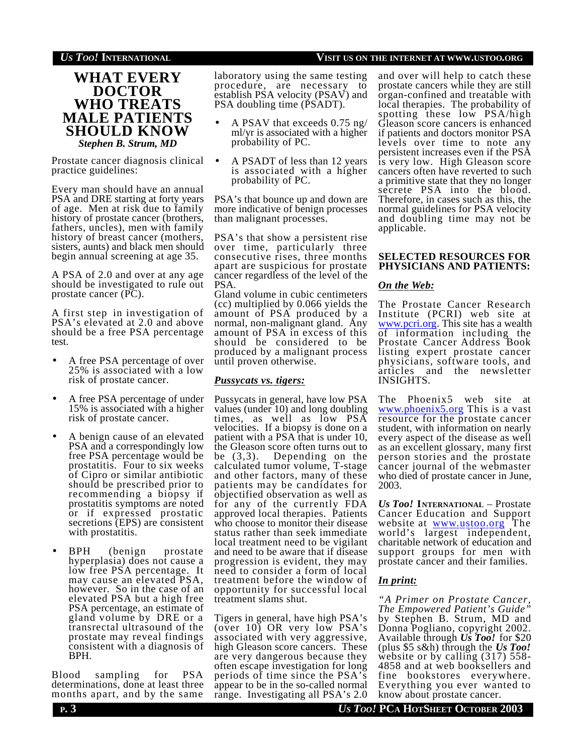## *US TOO!* **INTERNATIONAL VISIT US ON THE INTERNET AT WWW.USTOO.ORG**

## **WHAT EVERY DOCTOR WHO TREATS MALE PATIENTS SHOULD KNOW** *Stephen B. Strum, MD*

Prostate cancer diagnosis clinical practice guidelines:

Every man should have an annual PSA and DRE starting at forty years of age. Men at risk due to family history of prostate cancer (brothers, fathers, uncles), men with family history of breast cancer (mothers, sisters, aunts) and black men should begin annual screening at age 35.

A PSA of 2.0 and over at any age should be investigated to rule out prostate cancer (PC).

A first step in investigation of PSA's elevated at 2.0 and above should be a free PSA percentage test.

- A free PSA percentage of over 25% is associated with a low risk of prostate cancer.
- A free PSA percentage of under 15% is associated with a higher risk of prostate cancer.
- A benign cause of an elevated PSA and a correspondingly low free PSA percentage would be prostatitis. Four to six weeks of Cipro or similar antibiotic should be prescribed prior to recommending a biopsy if prostatitis symptoms are noted or if expressed prostatic secretions (EPS) are consistent with prostatitis.
- BPH (benign prostate hyperplasia) does not cause a low free PSA percentage. It may cause an elevated PSA, however. So in the case of an elevated PSA but a high free PSA percentage, an estimate of gland volume by DRE or a transrectal ultrasound of the prostate may reveal findings consistent with a diagnosis of BPH.

Blood sampling for PSA determinations, done at least three months apart, and by the same laboratory using the same testing procedure, are necessary to establish PSA velocity (PSAV) and PSA doubling time (PSADT).

- A PSAV that exceeds 0.75 ng/ ml/yr is associated with a higher probability of PC.
- A PSADT of less than 12 years is associated with a higher probability of PC.

PSA's that bounce up and down are more indicative of benign processes than malignant processes.

PSA's that show a persistent rise over time, particularly three consecutive rises, three months apart are suspicious for prostate cancer regardless of the level of the PSA.

Gland volume in cubic centimeters (cc) multiplied by 0.066 yields the amount of PSA produced by a normal, non-malignant gland. Any amount of PSA in excess of this should be considered to be produced by a malignant process until proven otherwise.

## *Pussycats vs. tigers:*

Pussycats in general, have low PSA values (under 10) and long doubling times, as well as low PSA velocities. If a biopsy is done on a patient with a PSA that is under 10, the Gleason score often turns out to be (3,3). Depending on the calculated tumor volume, T-stage and other factors, many of these patients may be candidates for objectified observation as well as for any of the currently FDA approved local therapies. Patients who choose to monitor their disease status rather than seek immediate local treatment need to be vigilant and need to be aware that if disease progression is evident, they may need to consider a form of local treatment before the window of opportunity for successful local treatment slams shut.

Tigers in general, have high PSA's (over 10) OR very low PSA's associated with very aggressive, high Gleason score cancers. These are very dangerous because they often escape investigation for long periods of time since the PSA's appear to be in the so-called normal range. Investigating all PSA's 2.0

and over will help to catch these prostate cancers while they are still organ-confined and treatable with local therapies. The probability of spotting these low PSA/high Gleason score cancers is enhanced if patients and doctors monitor PSA levels over time to note any persistent increases even if the PSA is very low. High Gleason score cancers often have reverted to such a primitive state that they no longer secrete PSA into the blood. Therefore, in cases such as this, the normal guidelines for PSA velocity and doubling time may not be applicable.

## **SELECTED RESOURCES FOR PHYSICIANS AND PATIENTS:**

## *On the Web:*

The Prostate Cancer Research Institute (PCRI) web site at www.pcri.org. This site has a wealth of information including the Prostate Cancer Address Book listing expert prostate cancer physicians, software tools, and articles and the newsletter INSIGHTS.

The Phoenix5 web site at www.phoenix5.org This is a vast resource for the prostate cancer student, with information on nearly every aspect of the disease as well as an excellent glossary, many first person stories and the prostate cancer journal of the webmaster who died of prostate cancer in June, 2003.

*Us Too!* **INTERNATIONAL** – Prostate Cancer Education and Support website at <u>www.ustoo.org</u> The world's largest independent, charitable network of education and support groups for men with prostate cancer and their families.

## *In print:*

*"A Primer on Prostate Cancer, The Empowered Patient's Guide"* by Stephen B. Strum, MD and Donna Pogliano, copyright 2002. Available through *Us Too!* for \$20 (plus \$5 s&h) through the *Us Too!* website or by calling (317) 558-4858 and at web booksellers and fine bookstores everywhere. Everything you ever wanted to know about prostate cancer.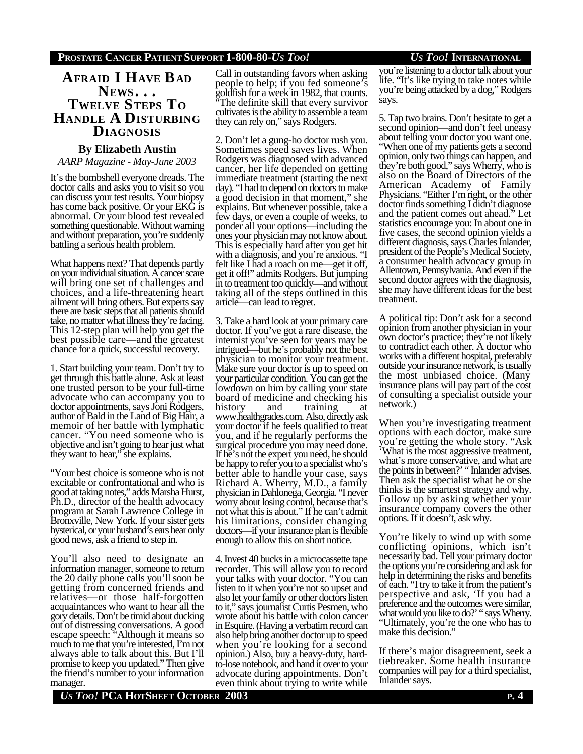## **AFRAID I HAVE BAD NEWS . . . TWELVE STEPS TO HANDLE A DISTURBING DIAGNOSIS**

## **By Elizabeth Austin**

*AARP Magazine - May-June 2003*

It's the bombshell everyone dreads. The doctor calls and asks you to visit so you can discuss your test results. Your biopsy has come back positive. Or your EKG is abnormal. Or your blood test revealed something questionable. Without warning and without preparation, you're suddenly battling a serious health problem.

What happens next? That depends partly on your individual situation. A cancer scare will bring one set of challenges and choices, and a life-threatening heart ailment will bring others. But experts say there are basic steps that all patients should take, no matter what illness they're facing. This 12-step plan will help you get the best possible care—and the greatest chance for a quick, successful recovery.

1. Start building your team. Don't try to get through this battle alone. Ask at least one trusted person to be your full-time advocate who can accompany you to doctor appointments, says Joni Rodgers, author of Bald in the Land of Big Hair, a memoir of her battle with lymphatic cancer. "You need someone who is objective and isn't going to hear just what they want to hear," she explains.

"Your best choice is someone who is not excitable or confrontational and who is good at taking notes," adds Marsha Hurst, Ph.D., director of the health advocacy program at Sarah Lawrence College in Bronxville, New York. If your sister gets hysterical, or your husband's ears hear only good news, ask a friend to step in.

You'll also need to designate an information manager, someone to return the 20 daily phone calls you'll soon be getting from concerned friends and relatives—or those half-forgotten acquaintances who want to hear all the gory details. Don't be timid about ducking out of distressing conversations. A good escape speech: "Although it means so much to me that you're interested, I'm not always able to talk about this. But I'll promise to keep you updated." Then give the friend's number to your information manager.

Call in outstanding favors when asking people to help; if you fed someone's goldfish for a week in 1982, that counts. "The definite skill that every survivor cultivates is the ability to assemble a team they can rely on," says Rodgers.

2. Don't let a gung-ho doctor rush you. Sometimes speed saves lives. When Rodgers was diagnosed with advanced cancer, her life depended on getting immediate treatment (starting the next day). "I had to depend on doctors to make a good decision in that moment," she explains. But whenever possible, take a few days, or even a couple of weeks, to ponder all your options—including the ones your physician may not know about. This is especially hard after you get hit with a diagnosis, and you're anxious. "I felt like I had a roach on me—get it off, get it off!" admits Rodgers. But jumping in to treatment too quickly—and without taking all of the steps outlined in this article—can lead to regret.

3. Take a hard look at your primary care doctor. If you've got a rare disease, the internist you've seen for years may be intrigued—but he's probably not the best physician to monitor your treatment. Make sure your doctor is up to speed on your particular condition. You can get the lowdown on him by calling your state board of medicine and checking his<br>history and training at training www.healthgrades.com. Also, directly ask your doctor if he feels qualified to treat you, and if he regularly performs the surgical procedure you may need done. If he's not the expert you need, he should be happy to refer you to a specialist who's better able to handle your case, says Richard A. Wherry, M.D., a family physician in Dahlonega, Georgia. "I never worry about losing control, because that's not what this is about." If he can't admit his limitations, consider changing doctors—if your insurance plan is flexible enough to allow this on short notice.

4. Invest 40 bucks in a microcassette tape recorder. This will allow you to record your talks with your doctor. "You can listen to it when you're not so upset and also let your family or other doctors listen to it," says journalist Curtis Pesmen, who wrote about his battle with colon cancer in Esquire. (Having a verbatim record can also help bring another doctor up to speed when you're looking for a second opinion.) Also, buy a heavy-duty, hardto-lose notebook, and hand it over to your advocate during appointments. Don't even think about trying to write while

you're listening to a doctor talk about your life. "It's like trying to take notes while you're being attacked by a dog," Rodgers says.

5. Tap two brains. Don't hesitate to get a second opinion—and don't feel uneasy about telling your doctor you want one. "When one of my patients gets a second opinion, only two things can happen, and they're both good," says Wherry, who is also on the Board of Directors of the American Academy of Family Physicians. "Either I'm right, or the other doctor finds something I didn't diagnose and the patient comes out ahead." Let statistics encourage you: In about one in five cases, the second opinion yields a different diagnosis, says Charles Inlander, president of the People's Medical Society, a consumer health advocacy group in Allentown, Pennsylvania. And even if the second doctor agrees with the diagnosis, she may have different ideas for the best treatment.

A political tip: Don't ask for a second opinion from another physician in your own doctor's practice; they're not likely to contradict each other. A doctor who works with a different hospital, preferably outside your insurance network, is usually the most unbiased choice. (Many insurance plans will pay part of the cost of consulting a specialist outside your network.)

When you're investigating treatment options with each doctor, make sure you're getting the whole story. "Ask 'What is the most aggressive treatment, what's more conservative, and what are the points in between?' " Inlander advises. Then ask the specialist what he or she thinks is the smartest strategy and why. Follow up by asking whether your insurance company covers the other options. If it doesn't, ask why.

You're likely to wind up with some conflicting opinions, which isn't necessarily bad. Tell your primary doctor the options you're considering and ask for help in determining the risks and benefits of each. "I try to take it from the patient's perspective and ask, 'If you had a preference and the outcomes were similar, what would you like to do?' " says Wherry. "Ultimately, you're the one who has to make this decision."

If there's major disagreement, seek a tiebreaker. Some health insurance companies will pay for a third specialist, Inlander says.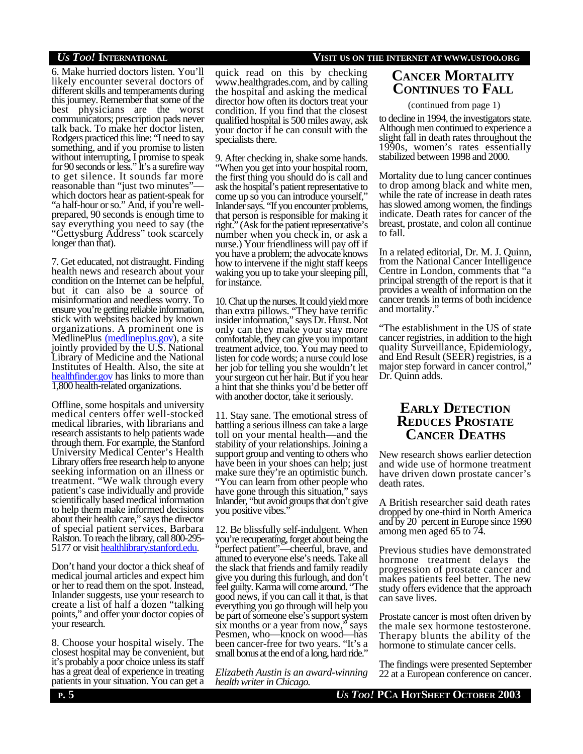6. Make hurried doctors listen. You'll likely encounter several doctors of different skills and temperaments during this journey. Remember that some of the best physicians are the worst communicators; prescription pads never talk back. To make her doctor listen, Rodgers practiced this line: "I need to say something, and if you promise to listen without interrupting, I promise to speak for 90 seconds or less." It's a surefire way to get silence. It sounds far more reasonable than "just two minutes" which doctors hear as patient-speak for "a half-hour or so." And, if you're wellprepared, 90 seconds is enough time to say everything you need to say (the "Gettysburg Address" took scarcely longer than that).

7. Get educated, not distraught. Finding health news and research about your condition on the Internet can be helpful, but it can also be a source of misinformation and needless worry. To ensure you're getting reliable information, stick with websites backed by known organizations. A prominent one is MedlinePlus (medlineplus.gov), a site jointly provided by the U.S. National Library of Medicine and the National Institutes of Health. Also, the site at healthfinder.gov has links to more than 1,800 health-related organizations.

Offline, some hospitals and university medical centers offer well-stocked medical libraries, with librarians and research assistants to help patients wade through them. For example, the Stanford University Medical Center's Health Library offers free research help to anyone seeking information on an illness or treatment. "We walk through every patient's case individually and provide scientifically based medical information to help them make informed decisions about their health care," says the director of special patient services, Barbara Ralston. To reach the library, call 800-295- 5177 or visit healthlibrary.stanford.edu.

Don't hand your doctor a thick sheaf of medical journal articles and expect him or her to read them on the spot. Instead, Inlander suggests, use your research to create a list of half a dozen "talking points," and offer your doctor copies of your research.

8. Choose your hospital wisely. The closest hospital may be convenient, but it's probably a poor choice unless its staff has a great deal of experience in treating patients in your situation. You can get a

quick read on this by checking www.healthgrades.com, and by calling the hospital and asking the medical director how often its doctors treat your condition. If you find that the closest qualified hospital is 500 miles away, ask your doctor if he can consult with the specialists there.

9. After checking in, shake some hands. "When you get into your hospital room, the first thing you should do is call and ask the hospital's patient representative to come up so you can introduce yourself," Inlander says. "If you encounter problems, that person is responsible for making it right." (Ask for the patient representative's number when you check in, or ask a nurse.) Your friendliness will pay off if you have a problem; the advocate knows how to intervene if the night staff keeps waking you up to take your sleeping pill, for instance.

10. Chat up the nurses. It could yield more than extra pillows. "They have terrific insider information," says Dr. Hurst. Not only can they make your stay more comfortable, they can give you important treatment advice, too. You may need to listen for code words; a nurse could lose her job for telling you she wouldn't let your surgeon cut her hair. But if you hear a hint that she thinks you'd be better off with another doctor, take it seriously.

11. Stay sane. The emotional stress of battling a serious illness can take a large toll on your mental health—and the stability of your relationships. Joining a support group and venting to others who have been in your shoes can help; just make sure they're an optimistic bunch. "You can learn from other people who have gone through this situation," says Inlander, "but avoid groups that don't give you positive vibes.

12. Be blissfully self-indulgent. When you're recuperating, forget about being the "perfect patient"—cheerful, brave, and attuned to everyone else's needs. Take all the slack that friends and family readily give you during this furlough, and don't feel guilty. Karma will come around. "The good news, if you can call it that, is that everything you go through will help you be part of someone else's support system six months or a year from now," says Pesmen, who—knock on wood—has been cancer-free for two years. "It's a small bonus at the end of a long, hard ride."

*Elizabeth Austin is an award-winning health writer in Chicago.*

## *US TOO!* **INTERNATIONAL VISIT US ON THE INTERNET AT WWW.USTOO.ORG**

## **CANCER MORTALITY CONTINUES TO FALL**

### (continued from page 1)

to decline in 1994, the investigators state. Although men continued to experience a slight fall in death rates throughout the 1990s, women's rates essentially stabilized between 1998 and 2000.

Mortality due to lung cancer continues to drop among black and white men, while the rate of increase in death rates has slowed among women, the findings indicate. Death rates for cancer of the breast, prostate, and colon all continue to fall.

In a related editorial, Dr. M. J. Quinn, from the National Cancer Intelligence Centre in London, comments that "a principal strength of the report is that it provides a wealth of information on the cancer trends in terms of both incidence and mortality."

"The establishment in the US of state cancer registries, in addition to the high quality Surveillance, Epidemiology, and End Result (SEER) registries, is a major step forward in cancer control," Dr. Quinn adds.

## **EARLY DETECTION REDUCES PROSTATE CANCER DEATHS**

New research shows earlier detection and wide use of hormone treatment have driven down prostate cancer's death rates.

A British researcher said death rates dropped by one-third in North America and by 20 percent in Europe since 1990 among men aged 65 to 74.

Previous studies have demonstrated hormone treatment delays the progression of prostate cancer and makes patients feel better. The new study offers evidence that the approach can save lives.

Prostate cancer is most often driven by the male sex hormone testosterone. Therapy blunts the ability of the hormone to stimulate cancer cells.

The findings were presented September 22 at a European conference on cancer.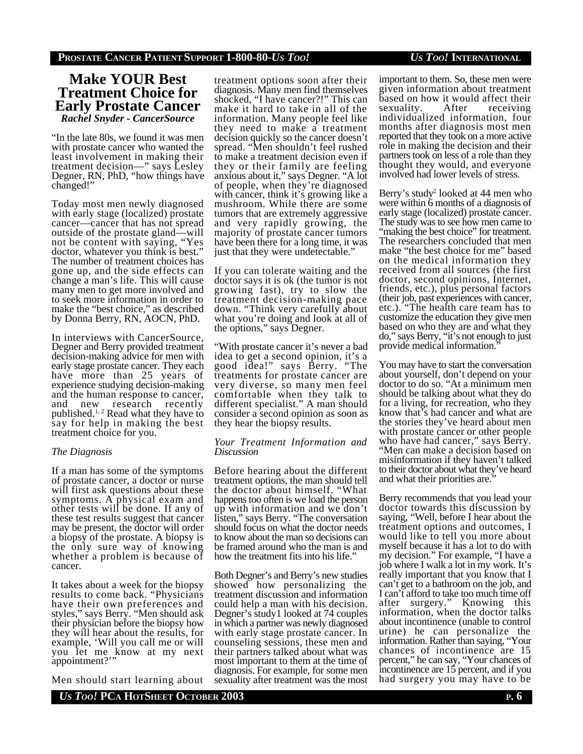## **Make YOUR Best Treatment Choice for Early Prostate Cancer** *Rachel Snyder - CancerSource*

"In the late 80s, we found it was men with prostate cancer who wanted the least involvement in making their treatment decision—" says Lesley Degner, RN, PhD, "how things have changed!"

Today most men newly diagnosed with early stage (localized) prostate cancer—cancer that has not spread outside of the prostate gland—will not be content with saying, "Yes doctor, whatever you think is best." The number of treatment choices has gone up, and the side effects can change a man's life. This will cause many men to get more involved and to seek more information in order to make the "best choice," as described by Donna Berry, RN, AOCN, PhD.

In interviews with CancerSource, Degner and Berry provided treatment decision-making advice for men with early stage prostate cancer. They each have more than 25 years of experience studying decision-making and the human response to cancer, and new research recently published. $1, 2$  Read what they have to say for help in making the best treatment choice for you.

## *The Diagnosis*

If a man has some of the symptoms of prostate cancer, a doctor or nurse will first ask questions about these symptoms. A physical exam and other tests will be done. If any of these test results suggest that cancer may be present, the doctor will order a biopsy of the prostate. A biopsy is the only sure way of knowing whether a problem is because of cancer.

It takes about a week for the biopsy results to come back. "Physicians have their own preferences and styles," says Berry. "Men should ask their physician before the biopsy how they will hear about the results, for example, 'Will you call me or will you let me know at my next appointment?'"

Men should start learning about

treatment options soon after their diagnosis. Many men find themselves shocked, "I have cancer?!" This can make it hard to take in all of the information. Many people feel like they need to make a treatment decision quickly so the cancer doesn't spread. "Men shouldn't feel rushed to make a treatment decision even if they or their family are feeling anxious about it," says Degner. "A lot of people, when they're diagnosed with cancer, think it's growing like a mushroom. While there are some tumors that are extremely aggressive and very rapidly growing, the majority of prostate cancer tumors have been there for a long time, it was just that they were undetectable."

If you can tolerate waiting and the doctor says it is ok (the tumor is not growing fast), try to slow the treatment decision-making pace down. "Think very carefully about what you're doing and look at all of the options," says Degner.

"With prostate cancer it's never a bad idea to get a second opinion, it's a good idea!" says Berry. "The treatments for prostate cancer are very diverse, so many men feel comfortable when they talk to different specialist." A man should consider a second opinion as soon as they hear the biopsy results.

#### *Your Treatment Information and Discussion*

Before hearing about the different treatment options, the man should tell the doctor about himself. "What happens too often is we load the person up with information and we don't listen," says Berry. "The conversation should focus on what the doctor needs to know about the man so decisions can be framed around who the man is and how the treatment fits into his life."

Both Degner's and Berry's new studies showed how personalizing the treatment discussion and information could help a man with his decision. Degner's study1 looked at 74 couples in which a partner was newly diagnosed with early stage prostate cancer. In counseling sessions, these men and their partners talked about what was most important to them at the time of diagnosis. For example, for some men sexuality after treatment was the most important to them. So, these men were given information about treatment based on how it would affect their<br>sexuality. After receiving sexuality. individualized information, four months after diagnosis most men reported that they took on a more active role in making the decision and their partners took on less of a role than they thought they would, and everyone involved had lower levels of stress.

Berry's study<sup>2</sup> looked at 44 men who were within 6 months of a diagnosis of early stage (localized) prostate cancer. The study was to see how men came to "making the best choice" for treatment. The researchers concluded that men make "the best choice for me" based on the medical information they received from all sources (the first doctor, second opinions, Internet, friends, etc.), plus personal factors (their job, past experiences with cancer, etc.). "The health care team has to customize the education they give men based on who they are and what they do," says Berry, "it's not enough to just provide medical information."

You may have to start the conversation about yourself, don't depend on your doctor to do so. "At a minimum men should be talking about what they do for a living, for recreation, who they know that's had cancer and what are the stories they've heard about men with prostate cancer or other people who have had cancer," says Berry. "Men can make a decision based on misinformation if they haven't talked to their doctor about what they've heard and what their priorities are."

Berry recommends that you lead your doctor towards this discussion by saying, "Well, before I hear about the treatment options and outcomes, I would like to tell you more about myself because it has a lot to do with my decision." For example, "I have a job where I walk a lot in my work. It's really important that you know that I can't get to a bathroom on the job, and I can't afford to take too much time off after surgery." Knowing this information, when the doctor talks about incontinence (unable to control urine) he can personalize the information. Rather than saying, "Your chances of incontinence are 15 percent," he can say, "Your chances of incontinence are 15 percent, and if you had surgery you may have to be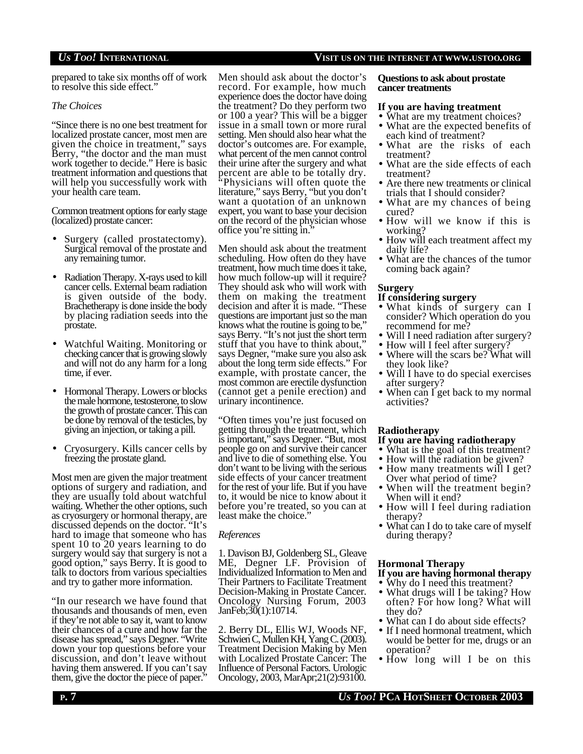## *US TOO!* **INTERNATIONAL VISIT US ON THE INTERNET AT WWW.USTOO.ORG**

prepared to take six months off of work to resolve this side effect."

### *The Choices*

"Since there is no one best treatment for localized prostate cancer, most men are given the choice in treatment," says Berry, "the doctor and the man must work together to decide." Here is basic treatment information and questions that will help you successfully work with your health care team.

Common treatment options for early stage (localized) prostate cancer:

- Surgery (called prostatectomy). Surgical removal of the prostate and any remaining tumor.
- Radiation Therapy. X-rays used to kill cancer cells. External beam radiation is given outside of the body. Brachetherapy is done inside the body by placing radiation seeds into the prostate.
- Watchful Waiting. Monitoring or checking cancer that is growing slowly and will not do any harm for a long time, if ever.
- Hormonal Therapy. Lowers or blocks the male hormone, testosterone, to slow the growth of prostate cancer. This can be done by removal of the testicles, by giving an injection, or taking a pill.
- Cryosurgery. Kills cancer cells by freezing the prostate gland.

Most men are given the major treatment options of surgery and radiation, and they are usually told about watchful waiting. Whether the other options, such as cryosurgery or hormonal therapy, are discussed depends on the doctor. "It's hard to image that someone who has spent 10 to 20 years learning to do surgery would say that surgery is not a good option," says Berry. It is good to talk to doctors from various specialties and try to gather more information.

"In our research we have found that thousands and thousands of men, even if they're not able to say it, want to know their chances of a cure and how far the disease has spread," says Degner. "Write down your top questions before your discussion, and don't leave without having them answered. If you can't say, them, give the doctor the piece of paper."

Men should ask about the doctor's record. For example, how much experience does the doctor have doing the treatment? Do they perform two or 100 a year? This will be a bigger issue in a small town or more rural setting. Men should also hear what the doctor's outcomes are. For example, what percent of the men cannot control their urine after the surgery and what percent are able to be totally dry. "Physicians will often quote the literature," says Berry, "but you don't want a quotation of an unknown expert, you want to base your decision on the record of the physician whose office you're sitting in."

Men should ask about the treatment scheduling. How often do they have treatment, how much time does it take, how much follow-up will it require? They should ask who will work with them on making the treatment decision and after it is made. "These questions are important just so the man knows what the routine is going to be," says Berry. "It's not just the short term stuff that you have to think about," says Degner, "make sure you also ask about the long term side effects." For example, with prostate cancer, the most common are erectile dysfunction (cannot get a penile erection) and urinary incontinence.

"Often times you're just focused on getting through the treatment, which is important," says Degner. "But, most people go on and survive their cancer and live to die of something else. You don't want to be living with the serious side effects of your cancer treatment for the rest of your life. But if you have to, it would be nice to know about it before you're treated, so you can at least make the choice."

#### *References*

1. Davison BJ, Goldenberg SL, Gleave ME, Degner LF. Provision of Individualized Information to Men and Their Partners to Facilitate Treatment Decision-Making in Prostate Cancer. Oncology Nursing Forum, 2003 JanFeb;30(1):10714.

2. Berry DL, Ellis WJ, Woods NF, Schwien C, Mullen KH, Yang C. (2003). Treatment Decision Making by Men with Localized Prostate Cancer: The Influence of Personal Factors. Urologic Oncology, 2003, MarApr;21(2):93100.

#### **Questions to ask about prostate cancer treatments**

### **If you are having treatment**

- What are my treatment choices?
- What are the expected benefits of each kind of treatment?
- What are the risks of each treatment?
- What are the side effects of each treatment?
- Are there new treatments or clinical trials that I should consider?
- What are my chances of being cured?
- How will we know if this is working?
- How will each treatment affect my daily life?
- What are the chances of the tumor coming back again?

## **Surgery**

### **If considering surgery**

- What kinds of surgery can I consider? Which operation do you recommend for me?
- Will I need radiation after surgery?
- How will I feel after surgery?
- Where will the scars be? What will they look like?
- Will I have to do special exercises after surgery?
- When can I get back to my normal activities?

## **Radiotherapy**

## **If you are having radiotherapy**

- What is the goal of this treatment?
- How will the radiation be given?
- How many treatments will I get? Over what period of time?
- When will the treatment begin? When will it end?
- How will I feel during radiation therapy?
- What can I do to take care of myself during therapy?

## **Hormonal Therapy**

### **If you are having hormonal therapy**

- Why do I need this treatment?
- What drugs will I be taking? How often? For how long? What will they do?
- What can I do about side effects?
- If I need hormonal treatment, which would be better for me, drugs or an operation?
- How long will I be on this